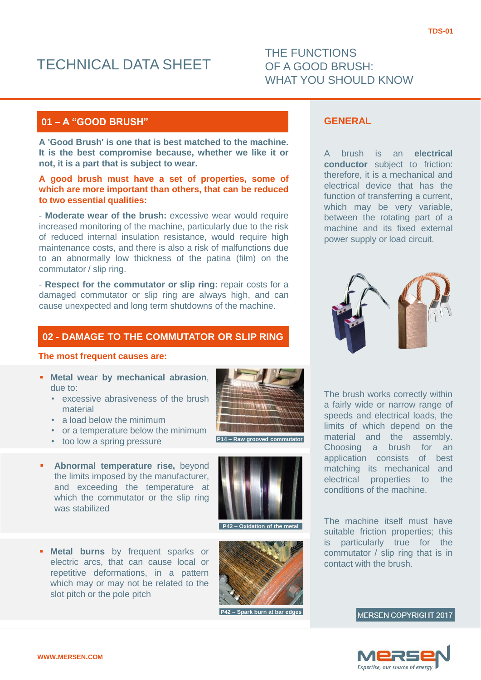# TECHNICAL DATA SHEET

# THE FUNCTIONS OF A GOOD BRUSH: WHAT YOU SHOULD KNOW

# **01 – A "GOOD BRUSH"**

**A 'Good Brush' is one that is best matched to the machine. It is the best compromise because, whether we like it or not, it is a part that is subject to wear.**

# **A good brush must have a set of properties, some of which are more important than others, that can be reduced to two essential qualities:**

- **Moderate wear of the brush:** excessive wear would require increased monitoring of the machine, particularly due to the risk of reduced internal insulation resistance, would require high maintenance costs, and there is also a risk of malfunctions due to an abnormally low thickness of the patina (film) on the commutator / slip ring.

- **Respect for the commutator or slip ring:** repair costs for a damaged commutator or slip ring are always high, and can cause unexpected and long term shutdowns of the machine.

# **02 - DAMAGE TO THE COMMUTATOR OR SLIP RING**

#### **The most frequent causes are:**

- **Metal wear by mechanical abrasion**, due to:
	- excessive abrasiveness of the brush material
	- a load below the minimum
	- or a temperature below the minimum
	- too low a spring pressure
- **Abnormal temperature rise,** beyond the limits imposed by the manufacturer, and exceeding the temperature at which the commutator or the slip ring was stabilized
- **Metal burns** by frequent sparks or electric arcs, that can cause local or repetitive deformations, in a pattern which may or may not be related to the slot pitch or the pole pitch



**P14 – Ra** 



**P42 – Oxidation of the metal**



**P42 – Spark burn at bar edges**

# **GENERAL**

A brush is an **electrical conductor** subject to friction: therefore, it is a mechanical and electrical device that has the function of transferring a current, which may be very variable, between the rotating part of a machine and its fixed external power supply or load circuit.



The brush works correctly within a fairly wide or narrow range of speeds and electrical loads, the limits of which depend on the material and the assembly. Choosing a brush for an application consists of best matching its mechanical and electrical properties to the conditions of the machine.

The machine itself must have suitable friction properties; this is particularly true for the commutator / slip ring that is in contact with the brush.

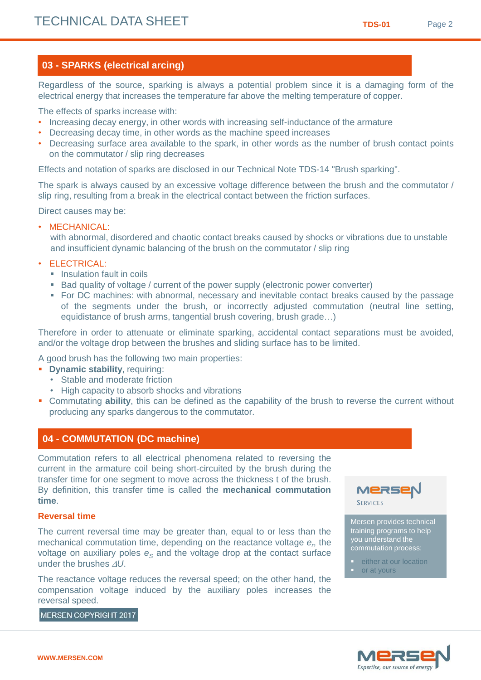# **03 - SPARKS (electrical arcing)**

Regardless of the source, sparking is always a potential problem since it is a damaging form of the electrical energy that increases the temperature far above the melting temperature of copper.

The effects of sparks increase with:

- Increasing decay energy, in other words with increasing self-inductance of the armature
- Decreasing decay time, in other words as the machine speed increases
- Decreasing surface area available to the spark, in other words as the number of brush contact points on the commutator / slip ring decreases

Effects and notation of sparks are disclosed in our Technical Note TDS-14 "Brush sparking".

The spark is always caused by an excessive voltage difference between the brush and the commutator / slip ring, resulting from a break in the electrical contact between the friction surfaces.

Direct causes may be:

• MECHANICAL:

with abnormal, disordered and chaotic contact breaks caused by shocks or vibrations due to unstable and insufficient dynamic balancing of the brush on the commutator / slip ring

- ELECTRICAL:
	- **Insulation fault in coils**
	- **Bad quality of voltage / current of the power supply (electronic power converter)**
	- For DC machines: with abnormal, necessary and inevitable contact breaks caused by the passage of the segments under the brush, or incorrectly adjusted commutation (neutral line setting, equidistance of brush arms, tangential brush covering, brush grade…)

Therefore in order to attenuate or eliminate sparking, accidental contact separations must be avoided, and/or the voltage drop between the brushes and sliding surface has to be limited.

A good brush has the following two main properties:

- **Dynamic stability**, requiring:
	- Stable and moderate friction
	- High capacity to absorb shocks and vibrations
- Commutating **ability**, this can be defined as the capability of the brush to reverse the current without producing any sparks dangerous to the commutator.

# **04 - COMMUTATION (DC machine)**

Commutation refers to all electrical phenomena related to reversing the current in the armature coil being short-circuited by the brush during the transfer time for one segment to move across the thickness t of the brush. By definition, this transfer time is called the **mechanical commutation time**.

#### **Reversal time**

The current reversal time may be greater than, equal to or less than the mechanical commutation time, depending on the reactance voltage  $e_r$  the voltage on auxiliary poles  $e_s$  and the voltage drop at the contact surface under the brushes  $\Delta U$ .

The reactance voltage reduces the reversal speed; on the other hand, the compensation voltage induced by the auxiliary poles increases the reversal speed.



Mersen provides technical training programs to help you understand the commutation process:

- **either at our location**
- or at yours

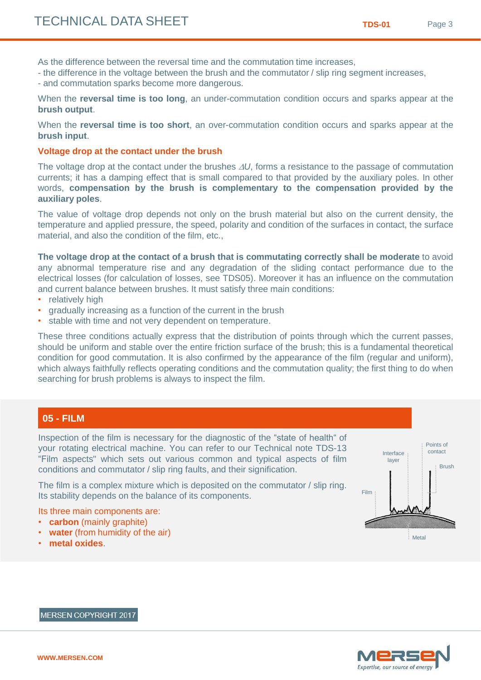As the difference between the reversal time and the commutation time increases,

- the difference in the voltage between the brush and the commutator / slip ring segment increases,
- and commutation sparks become more dangerous.

When the **reversal time is too long**, an under-commutation condition occurs and sparks appear at the **brush output**.

When the **reversal time is too short**, an over-commutation condition occurs and sparks appear at the **brush input**.

#### **Voltage drop at the contact under the brush**

The voltage drop at the contact under the brushes  $\Delta U$ , forms a resistance to the passage of commutation currents; it has a damping effect that is small compared to that provided by the auxiliary poles. In other words, **compensation by the brush is complementary to the compensation provided by the auxiliary poles**.

The value of voltage drop depends not only on the brush material but also on the current density, the temperature and applied pressure, the speed, polarity and condition of the surfaces in contact, the surface material, and also the condition of the film, etc.,

**The voltage drop at the contact of a brush that is commutating correctly shall be moderate** to avoid any abnormal temperature rise and any degradation of the sliding contact performance due to the electrical losses (for calculation of losses, see TDS05). Moreover it has an influence on the commutation and current balance between brushes. It must satisfy three main conditions:

- relatively high
- gradually increasing as a function of the current in the brush
- stable with time and not very dependent on temperature.

These three conditions actually express that the distribution of points through which the current passes, should be uniform and stable over the entire friction surface of the brush; this is a fundamental theoretical condition for good commutation. It is also confirmed by the appearance of the film (regular and uniform), which always faithfully reflects operating conditions and the commutation quality; the first thing to do when searching for brush problems is always to inspect the film.

# **05 - FILM**

Inspection of the film is necessary for the diagnostic of the "state of health" of your rotating electrical machine. You can refer to our Technical note TDS-13 "Film aspects" which sets out various common and typical aspects of film conditions and commutator / slip ring faults, and their signification.

The film is a complex mixture which is deposited on the commutator / slip ring. Its stability depends on the balance of its components.

Its three main components are:

- **carbon** (mainly graphite)
- **water** (from humidity of the air)
- **metal oxides**.



Metal

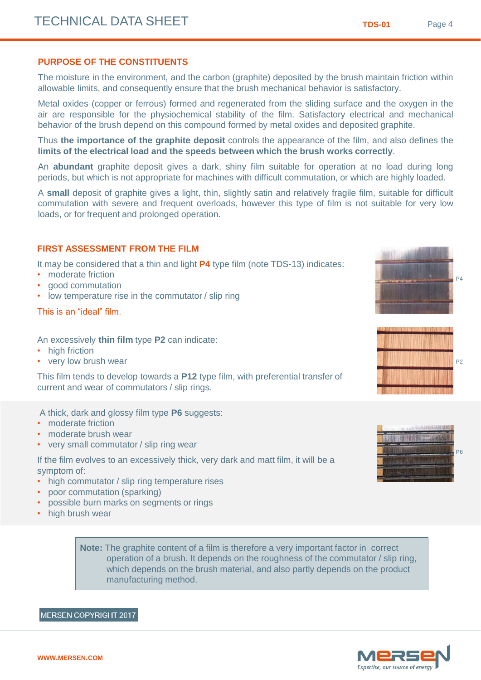# **PURPOSE OF THE CONSTITUENTS**

The moisture in the environment, and the carbon (graphite) deposited by the brush maintain friction within allowable limits, and consequently ensure that the brush mechanical behavior is satisfactory.

Metal oxides (copper or ferrous) formed and regenerated from the sliding surface and the oxygen in the air are responsible for the physiochemical stability of the film. Satisfactory electrical and mechanical behavior of the brush depend on this compound formed by metal oxides and deposited graphite.

Thus **the importance of the graphite deposit** controls the appearance of the film, and also defines the **limits of the electrical load and the speeds between which the brush works correctly**.

An **abundant** graphite deposit gives a dark, shiny film suitable for operation at no load during long periods, but which is not appropriate for machines with difficult commutation, or which are highly loaded.

A **small** deposit of graphite gives a light, thin, slightly satin and relatively fragile film, suitable for difficult commutation with severe and frequent overloads, however this type of film is not suitable for very low loads, or for frequent and prolonged operation.

### **FIRST ASSESSMENT FROM THE FILM**

It may be considered that a thin and light **P4** type film (note TDS-13) indicates:

- moderate friction
- good commutation
- low temperature rise in the commutator / slip ring

#### This is an "ideal" film.

#### An excessively **thin film** type **P2** can indicate:

- high friction
- very low brush wear

This film tends to develop towards a **P12** type film, with preferential transfer of current and wear of commutators / slip rings.

A thick, dark and glossy film type **P6** suggests:

- moderate friction
- moderate brush wear
- very small commutator / slip ring wear

If the film evolves to an excessively thick, very dark and matt film, it will be a symptom of:

- high commutator / slip ring temperature rises
- poor commutation (sparking)
- possible burn marks on segments or rings
- high brush wear

**Note:** The graphite content of a film is therefore a very important factor in correct operation of a brush. It depends on the roughness of the commutator / slip ring, which depends on the brush material, and also partly depends on the product manufacturing method.

#### **MERSEN COPYRIGHT 2017**



Expertise, our source of energy







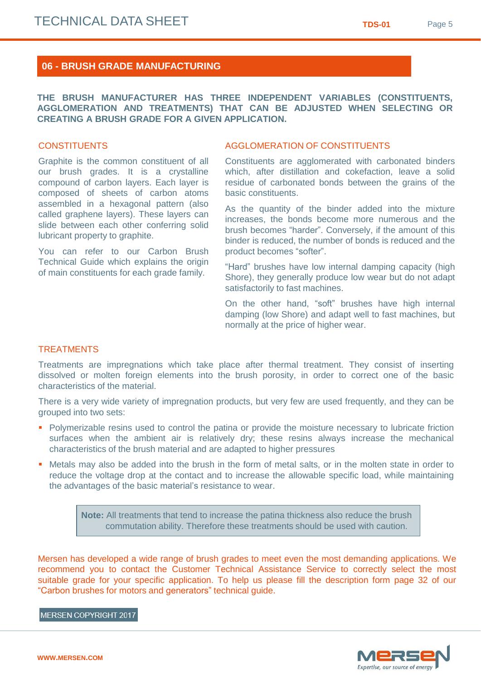# **06 - BRUSH GRADE MANUFACTURING**

**THE BRUSH MANUFACTURER HAS THREE INDEPENDENT VARIABLES (CONSTITUENTS, AGGLOMERATION AND TREATMENTS) THAT CAN BE ADJUSTED WHEN SELECTING OR CREATING A BRUSH GRADE FOR A GIVEN APPLICATION.**

# **CONSTITUENTS**

Graphite is the common constituent of all our brush grades. It is a crystalline compound of carbon layers. Each layer is composed of sheets of carbon atoms assembled in a hexagonal pattern (also called graphene layers). These layers can slide between each other conferring solid lubricant property to graphite.

You can refer to our Carbon Brush Technical Guide which explains the origin of main constituents for each grade family.

## AGGLOMERATION OF CONSTITUENTS

Constituents are agglomerated with carbonated binders which, after distillation and cokefaction, leave a solid residue of carbonated bonds between the grains of the basic constituents.

As the quantity of the binder added into the mixture increases, the bonds become more numerous and the brush becomes "harder". Conversely, if the amount of this binder is reduced, the number of bonds is reduced and the product becomes "softer".

"Hard" brushes have low internal damping capacity (high Shore), they generally produce low wear but do not adapt satisfactorily to fast machines.

On the other hand, "soft" brushes have high internal damping (low Shore) and adapt well to fast machines, but normally at the price of higher wear.

#### **TREATMENTS**

Treatments are impregnations which take place after thermal treatment. They consist of inserting dissolved or molten foreign elements into the brush porosity, in order to correct one of the basic characteristics of the material.

There is a very wide variety of impregnation products, but very few are used frequently, and they can be grouped into two sets:

- **Polymerizable resins used to control the patina or provide the moisture necessary to lubricate friction** surfaces when the ambient air is relatively dry; these resins always increase the mechanical characteristics of the brush material and are adapted to higher pressures
- Metals may also be added into the brush in the form of metal salts, or in the molten state in order to reduce the voltage drop at the contact and to increase the allowable specific load, while maintaining the advantages of the basic material's resistance to wear.

**Note:** All treatments that tend to increase the patina thickness also reduce the brush commutation ability. Therefore these treatments should be used with caution.

Mersen has developed a wide range of brush grades to meet even the most demanding applications. We recommend you to contact the Customer Technical Assistance Service to correctly select the most suitable grade for your specific application. To help us please fill the description form page 32 of our "Carbon brushes for motors and generators" technical guide.

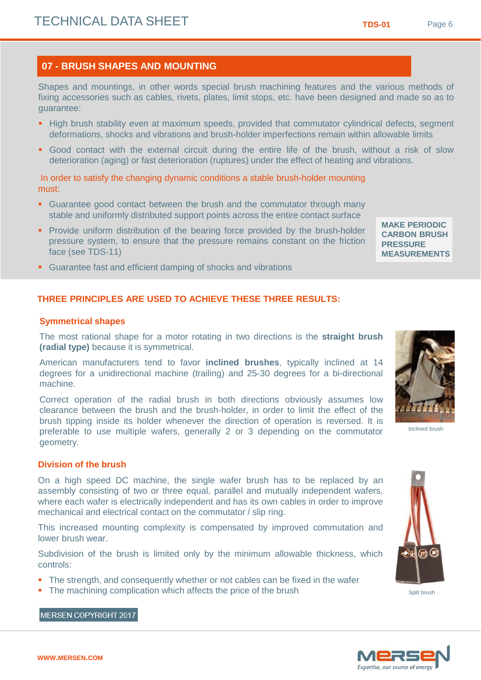MERSEN COPYRIGHT 2017

#### **07 - BRUSH SHAPES AND MOUNTING**

Shapes and mountings, in other words special brush machining features and the various methods of fixing accessories such as cables, rivets, plates, limit stops, etc. have been designed and made so as to guarantee:

- High brush stability even at maximum speeds, provided that commutator cylindrical defects, segment deformations, shocks and vibrations and brush-holder imperfections remain within allowable limits
- Good contact with the external circuit during the entire life of the brush, without a risk of slow deterioration (aging) or fast deterioration (ruptures) under the effect of heating and vibrations.

In order to satisfy the changing dynamic conditions a stable brush-holder mounting must:

- **Guarantee good contact between the brush and the commutator through many** stable and uniformly distributed support points across the entire contact surface
- **Provide uniform distribution of the bearing force provided by the brush-holder** pressure system, to ensure that the pressure remains constant on the friction face (see TDS-11)

#### **MAKE PERIODIC CARBON BRUSH PRESSURE MEASUREMENTS**

Guarantee fast and efficient damping of shocks and vibrations

# **THREE PRINCIPLES ARE USED TO ACHIEVE THESE THREE RESULTS:**

#### **Symmetrical shapes**

The most rational shape for a motor rotating in two directions is the **straight brush (radial type)** because it is symmetrical.

American manufacturers tend to favor **inclined brushes**, typically inclined at 14 degrees for a unidirectional machine (trailing) and 25-30 degrees for a bi-directional machine.

Correct operation of the radial brush in both directions obviously assumes low clearance between the brush and the brush-holder, in order to limit the effect of the brush tipping inside its holder whenever the direction of operation is reversed. It is preferable to use multiple wafers, generally 2 or 3 depending on the commutator geometry.

#### **Division of the brush**

On a high speed DC machine, the single wafer brush has to be replaced by an assembly consisting of two or three equal, parallel and mutually independent wafers, where each wafer is electrically independent and has its own cables in order to improve mechanical and electrical contact on the commutator / slip ring.

This increased mounting complexity is compensated by improved commutation and lower brush wear.

Subdivision of the brush is limited only by the minimum allowable thickness, which controls:

- The strength, and consequently whether or not cables can be fixed in the wafer
- The machining complication which affects the price of the brush



Split brush





Inclined brush